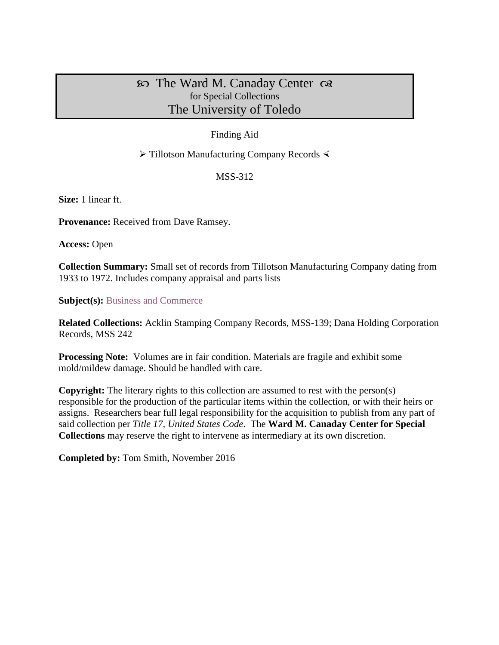# $\infty$  The Ward M. Canaday Center  $\infty$ for Special Collections The University of Toledo

## Finding Aid

## $\triangleright$  Tillotson Manufacturing Company Records  $\triangleleft$

MSS-312

**Size:** 1 linear ft.

**Provenance:** Received from Dave Ramsey.

**Access:** Open

**Collection Summary:** Small set of records from Tillotson Manufacturing Company dating from 1933 to 1972. Includes company appraisal and parts lists

**Subject(s):** [Business and Commerce](http://www.utoledo.edu/library/canaday/guidepages/business.html)

**Related Collections:** Acklin Stamping Company Records, MSS-139; Dana Holding Corporation Records, MSS 242

**Processing Note:** Volumes are in fair condition. Materials are fragile and exhibit some mold/mildew damage. Should be handled with care.

**Copyright:** The literary rights to this collection are assumed to rest with the person(s) responsible for the production of the particular items within the collection, or with their heirs or assigns. Researchers bear full legal responsibility for the acquisition to publish from any part of said collection per *Title 17, United States Code*. The **Ward M. Canaday Center for Special Collections** may reserve the right to intervene as intermediary at its own discretion.

**Completed by:** Tom Smith, November 2016